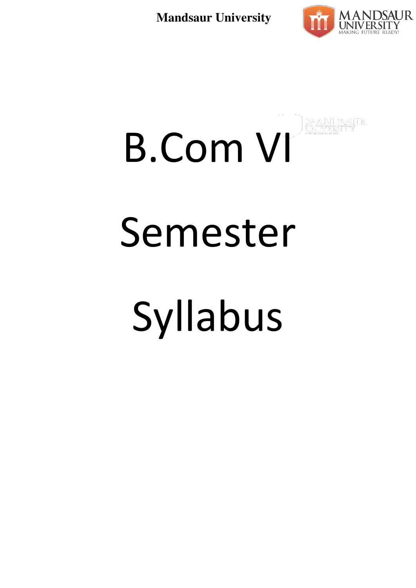

# B.Com VI Semester Syllabus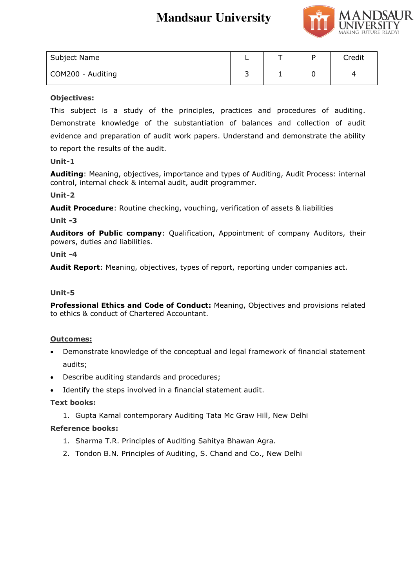

| Subject Name      |   |  | Credit |
|-------------------|---|--|--------|
| COM200 - Auditing | ∽ |  | 4      |

#### **Objectives:**

This subject is a study of the principles, practices and procedures of auditing. Demonstrate knowledge of the substantiation of balances and collection of audit evidence and preparation of audit work papers. Understand and demonstrate the ability

to report the results of the audit.

#### **Unit-1**

**Auditing**: Meaning, objectives, importance and types of Auditing, Audit Process: internal control, internal check & internal audit, audit programmer.

#### **Unit-2**

**Audit Procedure**: Routine checking, vouching, verification of assets & liabilities

#### **Unit -3**

**Auditors of Public company**: Qualification, Appointment of company Auditors, their powers, duties and liabilities.

#### **Unit -4**

**Audit Report**: Meaning, objectives, types of report, reporting under companies act.

#### **Unit-5**

**Professional Ethics and Code of Conduct:** Meaning, Objectives and provisions related to ethics & conduct of Chartered Accountant.

#### **Outcomes:**

- Demonstrate knowledge of the conceptual and legal framework of financial statement audits;
- Describe auditing standards and procedures;
- Identify the steps involved in a financial statement audit.

#### **Text books:**

1. Gupta Kamal contemporary Auditing Tata Mc Graw Hill, New Delhi

#### **Reference books:**

- 1. Sharma T.R. Principles of Auditing Sahitya Bhawan Agra.
- 2. Tondon B.N. Principles of Auditing, S. Chand and Co., New Delhi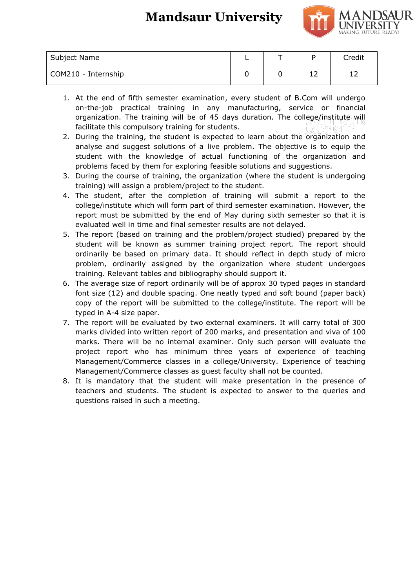

| Subject Name        |  | Credit |
|---------------------|--|--------|
| COM210 - Internship |  | . .    |

- 1. At the end of fifth semester examination, every student of B.Com will undergo on-the-job practical training in any manufacturing, service or financial organization. The training will be of 45 days duration. The college/institute will facilitate this compulsory training for students.
- 2. During the training, the student is expected to learn about the organization and analyse and suggest solutions of a live problem. The objective is to equip the student with the knowledge of actual functioning of the organization and problems faced by them for exploring feasible solutions and suggestions.
- 3. During the course of training, the organization (where the student is undergoing training) will assign a problem/project to the student.
- 4. The student, after the completion of training will submit a report to the college/institute which will form part of third semester examination. However, the report must be submitted by the end of May during sixth semester so that it is evaluated well in time and final semester results are not delayed.
- 5. The report (based on training and the problem/project studied) prepared by the student will be known as summer training project report. The report should ordinarily be based on primary data. It should reflect in depth study of micro problem, ordinarily assigned by the organization where student undergoes training. Relevant tables and bibliography should support it.
- 6. The average size of report ordinarily will be of approx 30 typed pages in standard font size (12) and double spacing. One neatly typed and soft bound (paper back) copy of the report will be submitted to the college/institute. The report will be typed in A-4 size paper.
- 7. The report will be evaluated by two external examiners. It will carry total of 300 marks divided into written report of 200 marks, and presentation and viva of 100 marks. There will be no internal examiner. Only such person will evaluate the project report who has minimum three years of experience of teaching Management/Commerce classes in a college/University. Experience of teaching Management/Commerce classes as guest faculty shall not be counted.
- 8. It is mandatory that the student will make presentation in the presence of teachers and students. The student is expected to answer to the queries and questions raised in such a meeting.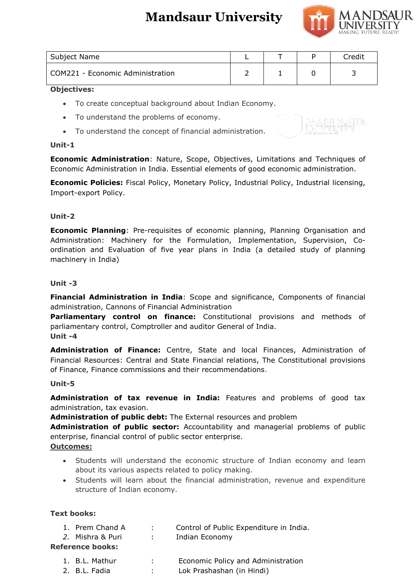

| Subject Name                     |  | Credit |
|----------------------------------|--|--------|
| COM221 - Economic Administration |  |        |

#### **Objectives:**

- To create conceptual background about Indian Economy.
- To understand the problems of economy.
- To understand the concept of financial administration.

#### **Unit-1**

**Economic Administration**: Nature, Scope, Objectives, Limitations and Techniques of Economic Administration in India. Essential elements of good economic administration.

**Economic Policies:** Fiscal Policy, Monetary Policy, Industrial Policy, Industrial licensing, Import-export Policy.

#### **Unit-2**

**Economic Planning**: Pre-requisites of economic planning, Planning Organisation and Administration: Machinery for the Formulation, Implementation, Supervision, Coordination and Evaluation of five year plans in India (a detailed study of planning machinery in India)

#### **Unit -3**

**Financial Administration in India**: Scope and significance, Components of financial administration, Cannons of Financial Administration

**Parliamentary control on finance:** Constitutional provisions and methods of parliamentary control, Comptroller and auditor General of India. **Unit -4** 

**Administration of Finance:** Centre, State and local Finances, Administration of Financial Resources: Central and State Financial relations, The Constitutional provisions of Finance, Finance commissions and their recommendations.

#### **Unit-5**

**Administration of tax revenue in India:** Features and problems of good tax administration, tax evasion.

**Administration of public debt:** The External resources and problem

**Administration of public sector:** Accountability and managerial problems of public enterprise, financial control of public sector enterprise.

#### **Outcomes:**

- Students will understand the economic structure of Indian economy and learn about its various aspects related to policy making.
- Students will learn about the financial administration, revenue and expenditure structure of Indian economy.

#### **Text books:**

- 1. Prem Chand A : Control of Public Expenditure in India.
- *2.* Mishra & Puri : Indian Economy

#### **Reference books:**

- 1. B.L. Mathur : Economic Policy and Administration
- 2. B.L. Fadia : Lok Prashashan (in Hindi)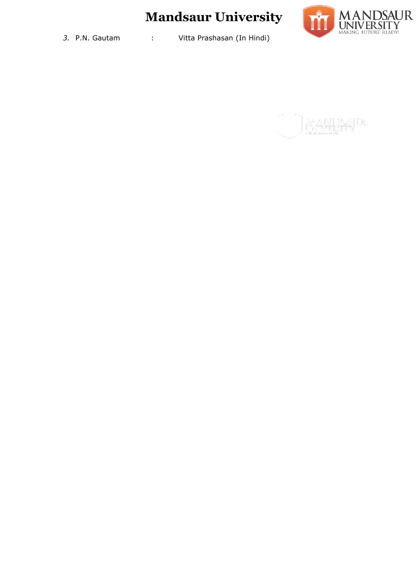

*3.* P.N. Gautam : Vitta Prashasan (In Hindi)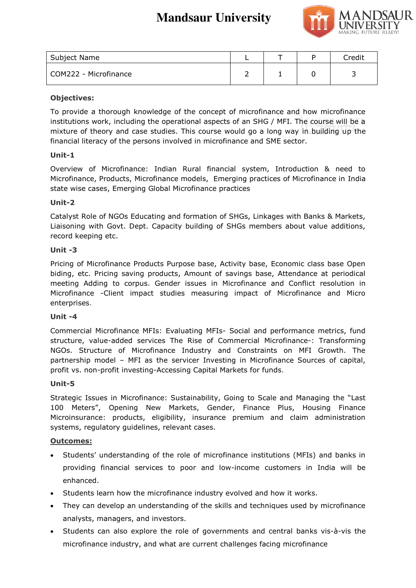

| Subject Name          |  | Credit |
|-----------------------|--|--------|
| COM222 - Microfinance |  |        |

#### **Objectives:**

To provide a thorough knowledge of the concept of microfinance and how microfinance institutions work, including the operational aspects of an SHG / MFI. The course will be a mixture of theory and case studies. This course would go a long way in building up the financial literacy of the persons involved in microfinance and SME sector.

#### **Unit-1**

Overview of Microfinance: Indian Rural financial system, Introduction & need to Microfinance, Products, Microfinance models, Emerging practices of Microfinance in India state wise cases, Emerging Global Microfinance practices

#### **Unit-2**

Catalyst Role of NGOs Educating and formation of SHGs, Linkages with Banks & Markets, Liaisoning with Govt. Dept. Capacity building of SHGs members about value additions, record keeping etc.

#### **Unit -3**

Pricing of Microfinance Products Purpose base, Activity base, Economic class base Open biding, etc. Pricing saving products, Amount of savings base, Attendance at periodical meeting Adding to corpus. Gender issues in Microfinance and Conflict resolution in Microfinance -Client impact studies measuring impact of Microfinance and Micro enterprises.

#### **Unit -4**

Commercial Microfinance MFIs: Evaluating MFIs- Social and performance metrics, fund structure, value-added services The Rise of Commercial Microfinance-: Transforming NGOs. Structure of Microfinance Industry and Constraints on MFI Growth. The partnership model – MFI as the servicer Investing in Microfinance Sources of capital, profit vs. non-profit investing-Accessing Capital Markets for funds.

#### **Unit-5**

Strategic Issues in Microfinance: Sustainability, Going to Scale and Managing the "Last 100 Meters", Opening New Markets, Gender, Finance Plus, Housing Finance Microinsurance: products, eligibility, insurance premium and claim administration systems, regulatory guidelines, relevant cases.

#### **Outcomes:**

- Students' understanding of the role of microfinance institutions (MFIs) and banks in providing financial services to poor and low-income customers in India will be enhanced.
- Students learn how the microfinance industry evolved and how it works.
- They can develop an understanding of the skills and techniques used by microfinance analysts, managers, and investors.
- Students can also explore the role of governments and central banks vis-à-vis the microfinance industry, and what are current challenges facing microfinance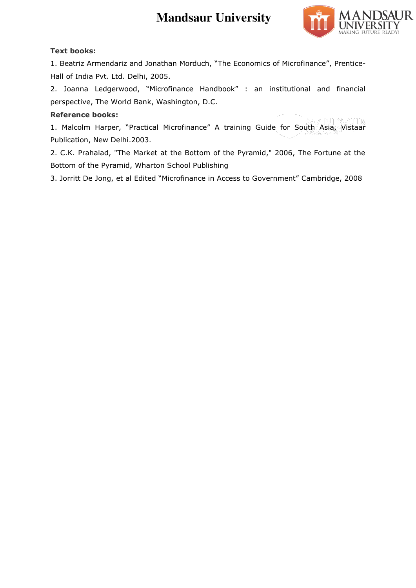

#### **Text books:**

1. Beatriz Armendariz and Jonathan Morduch, "The Economics of Microfinance", Prentice-Hall of India Pvt. Ltd. Delhi, 2005.

2. Joanna Ledgerwood, "Microfinance Handbook" : an institutional and financial perspective, The World Bank, Washington, D.C.

#### **Reference books:**

1. Malcolm Harper, "Practical Microfinance" A training Guide for South Asia, Vistaar Publication, New Delhi.2003.

2. C.K. Prahalad, "The Market at the Bottom of the Pyramid," 2006, The Fortune at the Bottom of the Pyramid, Wharton School Publishing

3. Jorritt De Jong, et al Edited "Microfinance in Access to Government" Cambridge, 2008